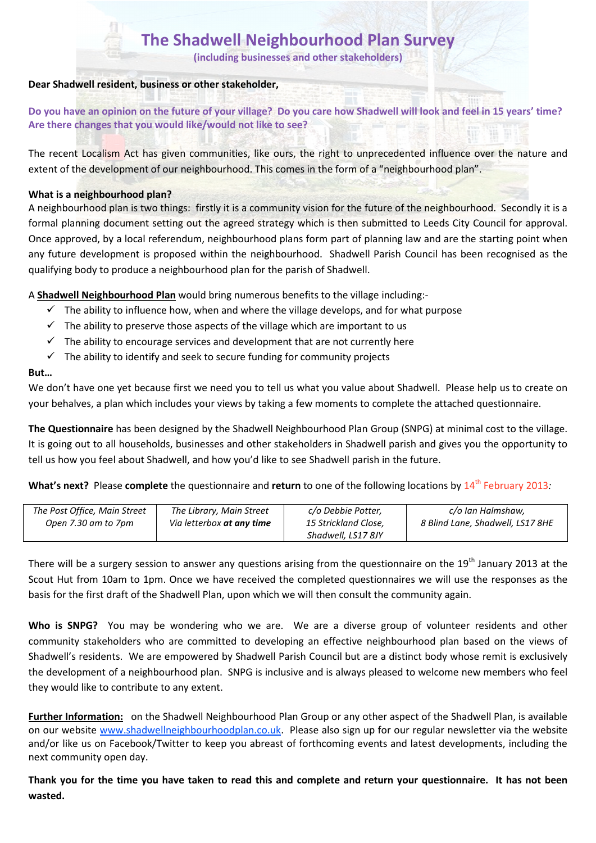**(including businesses and other stakeholders)**

### **Dear Shadwell resident, business or other stakeholder,**

**Do you have an opinion on the future of your village? Do you care how Shadwell will look and feel in 15 years' time? Are there changes that you would like/would not like to see?** 

The recent Localism Act has given communities, like ours, the right to unprecedented influence over the nature and extent of the development of our neighbourhood. This comes in the form of a "neighbourhood plan".

### **What is a neighbourhood plan?**

A neighbourhood plan is two things: firstly it is a community vision for the future of the neighbourhood. Secondly it is a formal planning document setting out the agreed strategy which is then submitted to Leeds City Council for approval. Once approved, by a local referendum, neighbourhood plans form part of planning law and are the starting point when any future development is proposed within the neighbourhood. Shadwell Parish Council has been recognised as the qualifying body to produce a neighbourhood plan for the parish of Shadwell.

A **Shadwell Neighbourhood Plan** would bring numerous benefits to the village including:-

- $\checkmark$  The ability to influence how, when and where the village develops, and for what purpose
- $\checkmark$  The ability to preserve those aspects of the village which are important to us
- $\checkmark$  The ability to encourage services and development that are not currently here
- $\checkmark$  The ability to identify and seek to secure funding for community projects

### **But…**

We don't have one yet because first we need you to tell us what you value about Shadwell. Please help us to create on your behalves, a plan which includes your views by taking a few moments to complete the attached questionnaire.

**The Questionnaire** has been designed by the Shadwell Neighbourhood Plan Group (SNPG) at minimal cost to the village. It is going out to all households, businesses and other stakeholders in Shadwell parish and gives you the opportunity to tell us how you feel about Shadwell, and how you'd like to see Shadwell parish in the future.

**What's next?** Please **complete** the questionnaire and **return** to one of the following locations by 14<sup>th</sup> February 2013*:* 

| The Post Office, Main Street | The Library, Main Street         | c/o Debbie Potter,   | c/o Ian Halmshaw,                |
|------------------------------|----------------------------------|----------------------|----------------------------------|
| Open 7.30 am to 7pm          | Via letterbox <b>at any time</b> | 15 Strickland Close, | 8 Blind Lane, Shadwell, LS17 8HE |
|                              |                                  | Shadwell, LS17 8JY   |                                  |

There will be a surgery session to answer any questions arising from the questionnaire on the 19<sup>th</sup> January 2013 at the Scout Hut from 10am to 1pm. Once we have received the completed questionnaires we will use the responses as the basis for the first draft of the Shadwell Plan, upon which we will then consult the community again.

**Who is SNPG?** You may be wondering who we are. We are a diverse group of volunteer residents and other community stakeholders who are committed to developing an effective neighbourhood plan based on the views of Shadwell's residents. We are empowered by Shadwell Parish Council but are a distinct body whose remit is exclusively the development of a neighbourhood plan. SNPG is inclusive and is always pleased to welcome new members who feel they would like to contribute to any extent.

**Further Information:** on the Shadwell Neighbourhood Plan Group or any other aspect of the Shadwell Plan, is available on our website www.shadwellneighbourhoodplan.co.uk. Please also sign up for our regular newsletter via the website and/or like us on Facebook/Twitter to keep you abreast of forthcoming events and latest developments, including the next community open day.

**Thank you for the time you have taken to read this and complete and return your questionnaire. It has not been wasted.**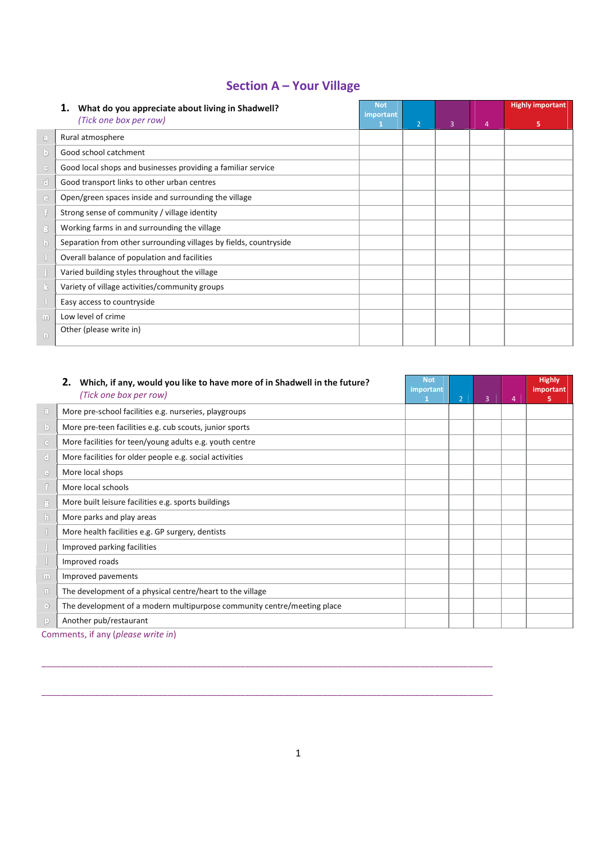# **Section A – Your Village**

|                       | What do you appreciate about living in Shadwell?                  | <b>Not</b> |                |                |                | <b>Highly important</b> |
|-----------------------|-------------------------------------------------------------------|------------|----------------|----------------|----------------|-------------------------|
|                       | (Tick one box per row)                                            | important  | $\overline{2}$ | $\overline{3}$ | $\overline{a}$ | 5                       |
| $\odot$               | Rural atmosphere                                                  |            |                |                |                |                         |
| $\lceil \cdot \rceil$ | Good school catchment                                             |            |                |                |                |                         |
| G                     | Good local shops and businesses providing a familiar service      |            |                |                |                |                         |
| ₫                     | Good transport links to other urban centres                       |            |                |                |                |                         |
| $\odot$               | Open/green spaces inside and surrounding the village              |            |                |                |                |                         |
| 9                     | Strong sense of community / village identity                      |            |                |                |                |                         |
| $\mathbf{B}$          | Working farms in and surrounding the village                      |            |                |                |                |                         |
| $\mathfrak{b}$        | Separation from other surrounding villages by fields, countryside |            |                |                |                |                         |
|                       | Overall balance of population and facilities                      |            |                |                |                |                         |
|                       | Varied building styles throughout the village                     |            |                |                |                |                         |
| k                     | Variety of village activities/community groups                    |            |                |                |                |                         |
|                       | Easy access to countryside                                        |            |                |                |                |                         |
| $\sqrt{10}$           | Low level of crime                                                |            |                |                |                |                         |
| $\Box$                | Other (please write in)                                           |            |                |                |                |                         |

|                                          | Which, if any, would you like to have more of in Shadwell in the future?<br>(Tick one box per row) | <b>Not</b><br>important | $\overline{2}$ | $\overline{3}$ | 4 | <b>Highly</b><br>important<br>5 |
|------------------------------------------|----------------------------------------------------------------------------------------------------|-------------------------|----------------|----------------|---|---------------------------------|
| $\begin{array}{c} \boxed{3} \end{array}$ | More pre-school facilities e.g. nurseries, playgroups                                              |                         |                |                |   |                                 |
| $\mathbf{b}$                             | More pre-teen facilities e.g. cub scouts, junior sports                                            |                         |                |                |   |                                 |
| $\circled{c}$                            | More facilities for teen/young adults e.g. youth centre                                            |                         |                |                |   |                                 |
| $\mathbf{C}$                             | More facilities for older people e.g. social activities                                            |                         |                |                |   |                                 |
| $\odot$                                  | More local shops                                                                                   |                         |                |                |   |                                 |
| f                                        | More local schools                                                                                 |                         |                |                |   |                                 |
| 3.                                       | More built leisure facilities e.g. sports buildings                                                |                         |                |                |   |                                 |
| b.                                       | More parks and play areas                                                                          |                         |                |                |   |                                 |
|                                          | More health facilities e.g. GP surgery, dentists                                                   |                         |                |                |   |                                 |
|                                          | Improved parking facilities                                                                        |                         |                |                |   |                                 |
|                                          | Improved roads                                                                                     |                         |                |                |   |                                 |
| m                                        | Improved pavements                                                                                 |                         |                |                |   |                                 |
| $\Box$                                   | The development of a physical centre/heart to the village                                          |                         |                |                |   |                                 |
| $\circledcirc$                           | The development of a modern multipurpose community centre/meeting place                            |                         |                |                |   |                                 |
| $\vert \cdot \rangle$                    | Another pub/restaurant                                                                             |                         |                |                |   |                                 |
|                                          | Commonte if any Inloace write in                                                                   |                         |                |                |   |                                 |

Comments, if any (*please write in*)

 $\_$  ,  $\_$  ,  $\_$  ,  $\_$  ,  $\_$  ,  $\_$  ,  $\_$  ,  $\_$  ,  $\_$  ,  $\_$  ,  $\_$  ,  $\_$  ,  $\_$  ,  $\_$  ,  $\_$  ,  $\_$  ,  $\_$  ,  $\_$  ,  $\_$  ,  $\_$  ,  $\_$  ,  $\_$  ,  $\_$  ,  $\_$  ,  $\_$  ,  $\_$  ,  $\_$  ,  $\_$  ,  $\_$  ,  $\_$  ,  $\_$  ,  $\_$  ,  $\_$  ,  $\_$  ,  $\_$  ,  $\_$  ,  $\_$  ,

 $\_$  ,  $\_$  ,  $\_$  ,  $\_$  ,  $\_$  ,  $\_$  ,  $\_$  ,  $\_$  ,  $\_$  ,  $\_$  ,  $\_$  ,  $\_$  ,  $\_$  ,  $\_$  ,  $\_$  ,  $\_$  ,  $\_$  ,  $\_$  ,  $\_$  ,  $\_$  ,  $\_$  ,  $\_$  ,  $\_$  ,  $\_$  ,  $\_$  ,  $\_$  ,  $\_$  ,  $\_$  ,  $\_$  ,  $\_$  ,  $\_$  ,  $\_$  ,  $\_$  ,  $\_$  ,  $\_$  ,  $\_$  ,  $\_$  ,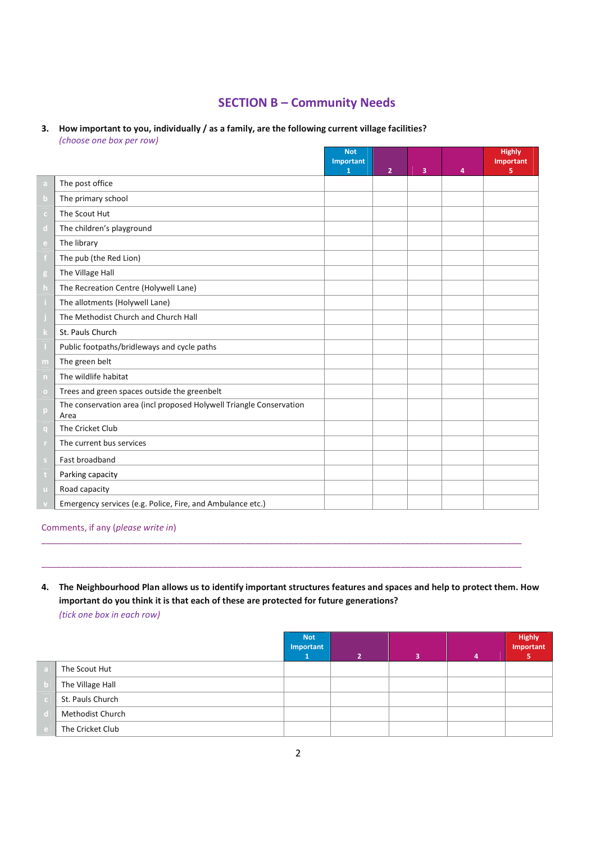# **SECTION B – Community Needs**

#### **3. How important to you, individually / as a family, are the following current village facilities?**  *(choose one box per row)*

|           |                                                                             | <b>Not</b><br>Important<br>1 | $\overline{2}$ | $\overline{\mathbf{3}}$ | $\overline{a}$ | <b>Highly</b><br>Important<br>5 |
|-----------|-----------------------------------------------------------------------------|------------------------------|----------------|-------------------------|----------------|---------------------------------|
| a         | The post office                                                             |                              |                |                         |                |                                 |
| b         | The primary school                                                          |                              |                |                         |                |                                 |
| c.        | The Scout Hut                                                               |                              |                |                         |                |                                 |
| d.        | The children's playground                                                   |                              |                |                         |                |                                 |
| e.        | The library                                                                 |                              |                |                         |                |                                 |
|           | The pub (the Red Lion)                                                      |                              |                |                         |                |                                 |
| g         | The Village Hall                                                            |                              |                |                         |                |                                 |
| h.        | The Recreation Centre (Holywell Lane)                                       |                              |                |                         |                |                                 |
|           | The allotments (Holywell Lane)                                              |                              |                |                         |                |                                 |
|           | The Methodist Church and Church Hall                                        |                              |                |                         |                |                                 |
|           | St. Pauls Church                                                            |                              |                |                         |                |                                 |
|           | Public footpaths/bridleways and cycle paths                                 |                              |                |                         |                |                                 |
| m         | The green belt                                                              |                              |                |                         |                |                                 |
| n         | The wildlife habitat                                                        |                              |                |                         |                |                                 |
| $\bullet$ | Trees and green spaces outside the greenbelt                                |                              |                |                         |                |                                 |
| p         | The conservation area (incl proposed Holywell Triangle Conservation<br>Area |                              |                |                         |                |                                 |
| q         | The Cricket Club                                                            |                              |                |                         |                |                                 |
|           | The current bus services                                                    |                              |                |                         |                |                                 |
| s.        | Fast broadband                                                              |                              |                |                         |                |                                 |
|           | Parking capacity                                                            |                              |                |                         |                |                                 |
| ū         | Road capacity                                                               |                              |                |                         |                |                                 |
|           | Emergency services (e.g. Police, Fire, and Ambulance etc.)                  |                              |                |                         |                |                                 |

Comments, if any (*please write in*)

## **4. The Neighbourhood Plan allows us to identify important structures features and spaces and help to protect them. How important do you think it is that each of these are protected for future generations?**  *(tick one box in each row)*

 $\_$  , and the contribution of the contribution of the contribution of the contribution of  $\mathcal{L}_1$ 

 $\_$  , and the contribution of the contribution of the contribution of the contribution of  $\mathcal{L}_1$ 

|   |                  | <b>Not</b><br>Important | $\overline{\mathbf{z}}$ |  | <b>Highly</b><br>Important |
|---|------------------|-------------------------|-------------------------|--|----------------------------|
| ы | The Scout Hut    |                         |                         |  |                            |
|   | The Village Hall |                         |                         |  |                            |
|   | St. Pauls Church |                         |                         |  |                            |
|   | Methodist Church |                         |                         |  |                            |
|   | The Cricket Club |                         |                         |  |                            |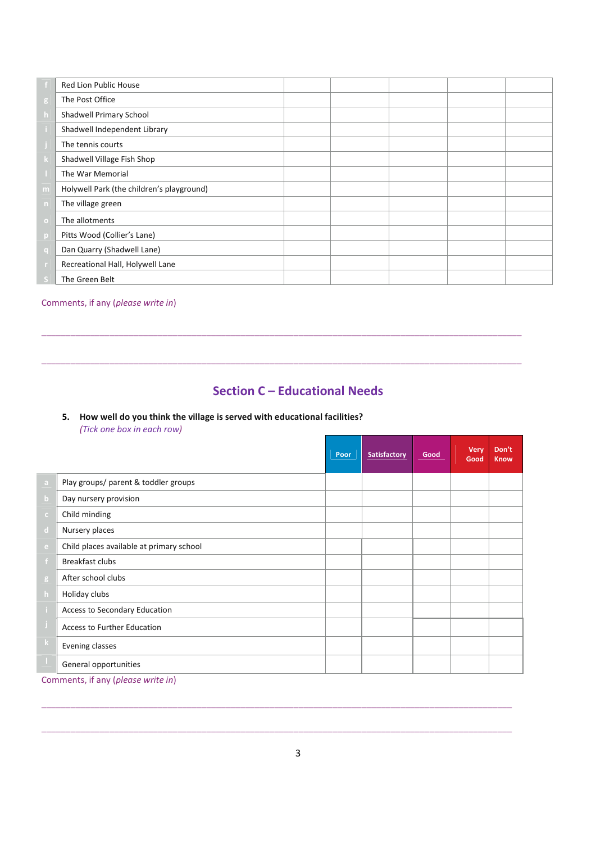|                 | <b>Red Lion Public House</b>              |  |  |  |
|-----------------|-------------------------------------------|--|--|--|
| $g_{\parallel}$ | The Post Office                           |  |  |  |
| $\mathsf{h}$    | Shadwell Primary School                   |  |  |  |
|                 | Shadwell Independent Library              |  |  |  |
|                 | The tennis courts                         |  |  |  |
|                 | Shadwell Village Fish Shop                |  |  |  |
|                 | The War Memorial                          |  |  |  |
| m               | Holywell Park (the children's playground) |  |  |  |
| n               | The village green                         |  |  |  |
| $\Omega$        | The allotments                            |  |  |  |
| p               | Pitts Wood (Collier's Lane)               |  |  |  |
| q               | Dan Quarry (Shadwell Lane)                |  |  |  |
|                 | Recreational Hall, Holywell Lane          |  |  |  |
|                 | The Green Belt                            |  |  |  |

#### Comments, if any (*please write in*)

# **Section C – Educational Needs**

 $\_$  , and the contribution of the contribution of the contribution of the contribution of  $\mathcal{L}_1$ 

 $\_$  , and the contribution of the contribution of the contribution of the contribution of  $\mathcal{L}_1$ 

#### **5. How well do you think the village is served with educational facilities?** *(Tick one box in each row)*

|              |                                          | Poor | Satisfactory | Good | <b>Very</b><br>Good | Don't<br><b>Know</b> |
|--------------|------------------------------------------|------|--------------|------|---------------------|----------------------|
| a            | Play groups/ parent & toddler groups     |      |              |      |                     |                      |
| $\mathbf b$  | Day nursery provision                    |      |              |      |                     |                      |
| c.           | Child minding                            |      |              |      |                     |                      |
| $\mathbf d$  | Nursery places                           |      |              |      |                     |                      |
| e.           | Child places available at primary school |      |              |      |                     |                      |
|              | <b>Breakfast clubs</b>                   |      |              |      |                     |                      |
| g            | After school clubs                       |      |              |      |                     |                      |
| $\mathsf{h}$ | Holiday clubs                            |      |              |      |                     |                      |
|              | Access to Secondary Education            |      |              |      |                     |                      |
|              | Access to Further Education              |      |              |      |                     |                      |
| k.           | Evening classes                          |      |              |      |                     |                      |
|              | General opportunities                    |      |              |      |                     |                      |

Comments, if any (*please write in*)

 $\_$  ,  $\_$  ,  $\_$  ,  $\_$  ,  $\_$  ,  $\_$  ,  $\_$  ,  $\_$  ,  $\_$  ,  $\_$  ,  $\_$  ,  $\_$  ,  $\_$  ,  $\_$  ,  $\_$  ,  $\_$  ,  $\_$  ,  $\_$  ,  $\_$  ,  $\_$  ,  $\_$  ,  $\_$  ,  $\_$  ,  $\_$  ,  $\_$  ,  $\_$  ,  $\_$  ,  $\_$  ,  $\_$  ,  $\_$  ,  $\_$  ,  $\_$  ,  $\_$  ,  $\_$  ,  $\_$  ,  $\_$  ,  $\_$  ,

 $\_$  ,  $\_$  ,  $\_$  ,  $\_$  ,  $\_$  ,  $\_$  ,  $\_$  ,  $\_$  ,  $\_$  ,  $\_$  ,  $\_$  ,  $\_$  ,  $\_$  ,  $\_$  ,  $\_$  ,  $\_$  ,  $\_$  ,  $\_$  ,  $\_$  ,  $\_$  ,  $\_$  ,  $\_$  ,  $\_$  ,  $\_$  ,  $\_$  ,  $\_$  ,  $\_$  ,  $\_$  ,  $\_$  ,  $\_$  ,  $\_$  ,  $\_$  ,  $\_$  ,  $\_$  ,  $\_$  ,  $\_$  ,  $\_$  ,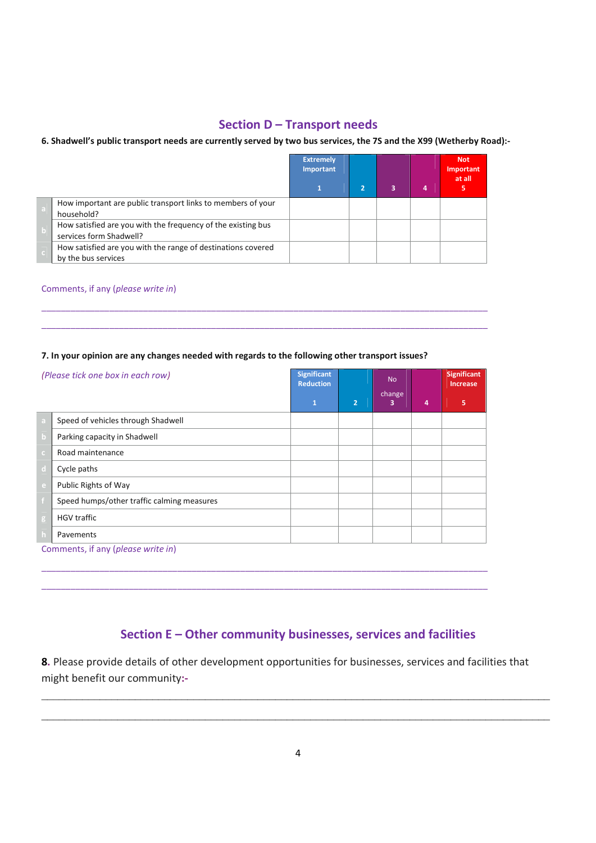## **Section D – Transport needs**

#### **6. Shadwell's public transport needs are currently served by two bus services, the 7S and the X99 (Wetherby Road):-**

|                                                                                         | <b>Extremely</b><br>Important |  |   | <b>Not</b><br>Important<br>at all |
|-----------------------------------------------------------------------------------------|-------------------------------|--|---|-----------------------------------|
|                                                                                         |                               |  | 4 |                                   |
| How important are public transport links to members of your<br>household?               |                               |  |   |                                   |
| How satisfied are you with the frequency of the existing bus<br>services form Shadwell? |                               |  |   |                                   |
| How satisfied are you with the range of destinations covered<br>by the bus services     |                               |  |   |                                   |

 $\_$  , and the set of the set of the set of the set of the set of the set of the set of the set of the set of the set of the set of the set of the set of the set of the set of the set of the set of the set of the set of th  $\_$  , and the set of the set of the set of the set of the set of the set of the set of the set of the set of the set of the set of the set of the set of the set of the set of the set of the set of the set of the set of th

#### Comments, if any (*please write in*)

#### **7. In your opinion are any changes needed with regards to the following other transport issues?**

| (Please tick one box in each row) |                                            | <b>Significant</b><br><b>Reduction</b> |                | <b>No</b><br>change |   | <b>Significant</b><br><b>Increase</b> |
|-----------------------------------|--------------------------------------------|----------------------------------------|----------------|---------------------|---|---------------------------------------|
|                                   |                                            | $\mathbf{1}$                           | $\overline{2}$ | 3                   | 4 | 5                                     |
|                                   | Speed of vehicles through Shadwell         |                                        |                |                     |   |                                       |
|                                   | Parking capacity in Shadwell               |                                        |                |                     |   |                                       |
|                                   | Road maintenance                           |                                        |                |                     |   |                                       |
|                                   | Cycle paths                                |                                        |                |                     |   |                                       |
|                                   | Public Rights of Way                       |                                        |                |                     |   |                                       |
|                                   | Speed humps/other traffic calming measures |                                        |                |                     |   |                                       |
| g                                 | <b>HGV traffic</b>                         |                                        |                |                     |   |                                       |
|                                   | Pavements                                  |                                        |                |                     |   |                                       |
|                                   | Comments, if any (please write in)         |                                        |                |                     |   |                                       |

 $\_$  , and the set of the set of the set of the set of the set of the set of the set of the set of the set of the set of the set of the set of the set of the set of the set of the set of the set of the set of the set of th  $\_$  , and the set of the set of the set of the set of the set of the set of the set of the set of the set of the set of the set of the set of the set of the set of the set of the set of the set of the set of the set of th

# **Section E – Other community businesses, services and facilities**

**8.** Please provide details of other development opportunities for businesses, services and facilities that might benefit our community**:-** 

\_\_\_\_\_\_\_\_\_\_\_\_\_\_\_\_\_\_\_\_\_\_\_\_\_\_\_\_\_\_\_\_\_\_\_\_\_\_\_\_\_\_\_\_\_\_\_\_\_\_\_\_\_\_\_\_\_\_\_\_\_\_\_\_\_\_\_\_\_\_\_\_\_\_\_\_\_\_\_\_\_\_\_\_\_\_\_

\_\_\_\_\_\_\_\_\_\_\_\_\_\_\_\_\_\_\_\_\_\_\_\_\_\_\_\_\_\_\_\_\_\_\_\_\_\_\_\_\_\_\_\_\_\_\_\_\_\_\_\_\_\_\_\_\_\_\_\_\_\_\_\_\_\_\_\_\_\_\_\_\_\_\_\_\_\_\_\_\_\_\_\_\_\_\_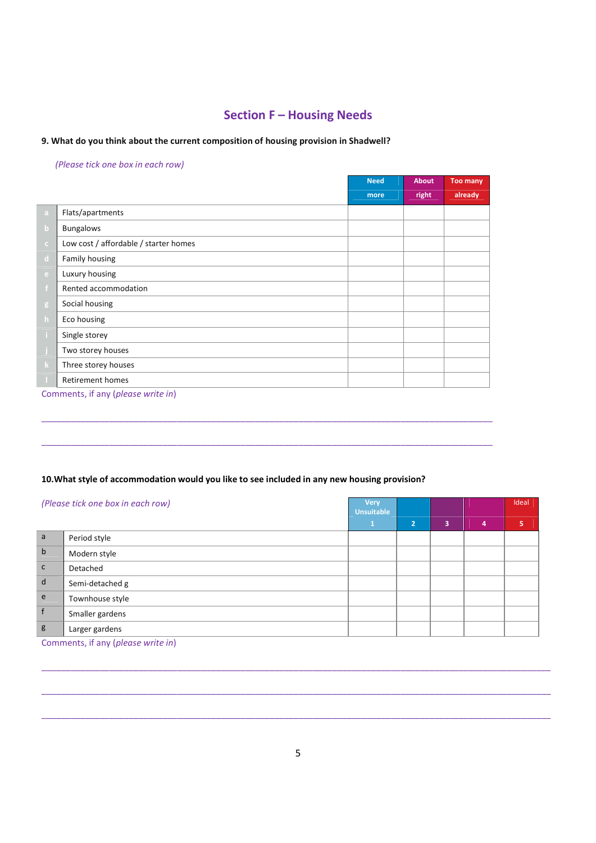# **Section F – Housing Needs**

#### **9. What do you think about the current composition of housing provision in Shadwell?**

#### *(Please tick one box in each row)*

|              |                                                                                                                         | <b>Need</b> | About | <b>Too many</b> |
|--------------|-------------------------------------------------------------------------------------------------------------------------|-------------|-------|-----------------|
|              |                                                                                                                         | more        | right | already         |
| a            | Flats/apartments                                                                                                        |             |       |                 |
| $\mathbf b$  | <b>Bungalows</b>                                                                                                        |             |       |                 |
| $\mathsf{C}$ | Low cost / affordable / starter homes                                                                                   |             |       |                 |
| $\mathbf d$  | Family housing                                                                                                          |             |       |                 |
| e.           | Luxury housing                                                                                                          |             |       |                 |
|              | Rented accommodation                                                                                                    |             |       |                 |
| $\mathbf{g}$ | Social housing                                                                                                          |             |       |                 |
| h            | Eco housing                                                                                                             |             |       |                 |
|              | Single storey                                                                                                           |             |       |                 |
|              | Two storey houses                                                                                                       |             |       |                 |
| $\bf k$      | Three storey houses                                                                                                     |             |       |                 |
|              | <b>Retirement homes</b>                                                                                                 |             |       |                 |
|              | $\sigma$ - and an extended of $\sigma$ - and $\sigma$ - $\sigma$ - $\sigma$ - $\sigma$ - $\sigma$ - $\sigma$ - $\sigma$ |             |       |                 |

 $\_$  , and the set of the set of the set of the set of the set of the set of the set of the set of the set of the set of the set of the set of the set of the set of the set of the set of the set of the set of the set of th

 $\_$  ,  $\_$  ,  $\_$  ,  $\_$  ,  $\_$  ,  $\_$  ,  $\_$  ,  $\_$  ,  $\_$  ,  $\_$  ,  $\_$  ,  $\_$  ,  $\_$  ,  $\_$  ,  $\_$  ,  $\_$  ,  $\_$  ,  $\_$  ,  $\_$  ,  $\_$  ,  $\_$  ,  $\_$  ,  $\_$  ,  $\_$  ,  $\_$  ,  $\_$  ,  $\_$  ,  $\_$  ,  $\_$  ,  $\_$  ,  $\_$  ,  $\_$  ,  $\_$  ,  $\_$  ,  $\_$  ,  $\_$  ,  $\_$  ,

Comments, if any (*please write in*)

#### **10.What style of accommodation would you like to see included in any new housing provision?**

| (Please tick one box in each row) |                 | <b>Very</b><br><b>Unsuitable</b> |                |   |   | Ideal |
|-----------------------------------|-----------------|----------------------------------|----------------|---|---|-------|
|                                   |                 |                                  | $\overline{2}$ | 3 | 4 | 5     |
| a                                 | Period style    |                                  |                |   |   |       |
| $\mathbf b$                       | Modern style    |                                  |                |   |   |       |
| $\mathsf{C}$                      | Detached        |                                  |                |   |   |       |
| $\mathsf{d}$                      | Semi-detached g |                                  |                |   |   |       |
| e                                 | Townhouse style |                                  |                |   |   |       |
|                                   | Smaller gardens |                                  |                |   |   |       |
| g                                 | Larger gardens  |                                  |                |   |   |       |

Comments, if any (*please write in*)

\_\_\_\_\_\_\_\_\_\_\_\_\_\_\_\_\_\_\_\_\_\_\_\_\_\_\_\_\_\_\_\_\_\_\_\_\_\_\_\_\_\_\_\_\_\_\_\_\_\_\_\_\_\_\_\_\_\_\_\_\_\_\_\_\_\_\_\_\_\_\_\_\_\_\_\_\_\_\_\_\_\_\_\_\_\_\_\_\_\_\_\_\_\_\_\_\_\_\_\_\_\_\_\_\_

\_\_\_\_\_\_\_\_\_\_\_\_\_\_\_\_\_\_\_\_\_\_\_\_\_\_\_\_\_\_\_\_\_\_\_\_\_\_\_\_\_\_\_\_\_\_\_\_\_\_\_\_\_\_\_\_\_\_\_\_\_\_\_\_\_\_\_\_\_\_\_\_\_\_\_\_\_\_\_\_\_\_\_\_\_\_\_\_\_\_\_\_\_\_\_\_\_\_\_\_\_\_\_\_\_

 $\_$  , and the set of the set of the set of the set of the set of the set of the set of the set of the set of the set of the set of the set of the set of the set of the set of the set of the set of the set of the set of th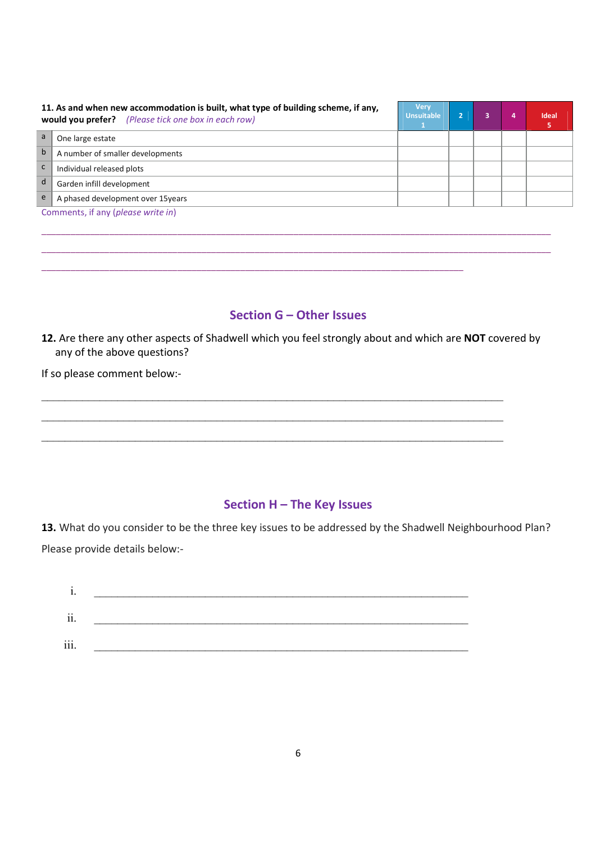|   | 11. As and when new accommodation is built, what type of building scheme, if any,<br>would you prefer? (Please tick one box in each row) | <b>Very</b><br><b>Unsuitable</b> |  | 4 | <b>Ideal</b><br>ь |
|---|------------------------------------------------------------------------------------------------------------------------------------------|----------------------------------|--|---|-------------------|
|   | One large estate                                                                                                                         |                                  |  |   |                   |
| b | A number of smaller developments                                                                                                         |                                  |  |   |                   |
|   | Individual released plots                                                                                                                |                                  |  |   |                   |
| d | Garden infill development                                                                                                                |                                  |  |   |                   |
| e | A phased development over 15years                                                                                                        |                                  |  |   |                   |
|   | Comments, if any (please write in)                                                                                                       |                                  |  |   |                   |

### **Section G – Other Issues**

\_\_\_\_\_\_\_\_\_\_\_\_\_\_\_\_\_\_\_\_\_\_\_\_\_\_\_\_\_\_\_\_\_\_\_\_\_\_\_\_\_\_\_\_\_\_\_\_\_\_\_\_\_\_\_\_\_\_\_\_\_\_\_\_\_\_\_\_\_\_\_\_\_\_\_\_\_\_\_\_\_\_\_\_\_\_\_\_\_\_\_\_\_\_\_\_\_\_\_\_\_\_\_\_\_ \_\_\_\_\_\_\_\_\_\_\_\_\_\_\_\_\_\_\_\_\_\_\_\_\_\_\_\_\_\_\_\_\_\_\_\_\_\_\_\_\_\_\_\_\_\_\_\_\_\_\_\_\_\_\_\_\_\_\_\_\_\_\_\_\_\_\_\_\_\_\_\_\_\_\_\_\_\_\_\_\_\_\_\_\_\_\_\_\_\_\_\_\_\_\_\_\_\_\_\_\_\_\_\_\_

\_\_\_\_\_\_\_\_\_\_\_\_\_\_\_\_\_\_\_\_\_\_\_\_\_\_\_\_\_\_\_\_\_\_\_\_\_\_\_\_\_\_\_\_\_\_\_\_\_\_\_\_\_\_\_\_\_\_\_\_\_\_\_\_\_\_\_\_\_\_\_\_\_\_\_\_\_\_\_\_\_\_\_\_\_\_\_

**12.** Are there any other aspects of Shadwell which you feel strongly about and which are **NOT** covered by any of the above questions?

\_\_\_\_\_\_\_\_\_\_\_\_\_\_\_\_\_\_\_\_\_\_\_\_\_\_\_\_\_\_\_\_\_\_\_\_\_\_\_\_\_\_\_\_\_\_\_\_\_\_\_\_\_\_\_\_\_\_\_\_\_\_\_\_\_\_\_\_\_\_\_\_\_\_\_\_\_\_\_

\_\_\_\_\_\_\_\_\_\_\_\_\_\_\_\_\_\_\_\_\_\_\_\_\_\_\_\_\_\_\_\_\_\_\_\_\_\_\_\_\_\_\_\_\_\_\_\_\_\_\_\_\_\_\_\_\_\_\_\_\_\_\_\_\_\_\_\_\_\_\_\_\_\_\_\_\_\_\_

\_\_\_\_\_\_\_\_\_\_\_\_\_\_\_\_\_\_\_\_\_\_\_\_\_\_\_\_\_\_\_\_\_\_\_\_\_\_\_\_\_\_\_\_\_\_\_\_\_\_\_\_\_\_\_\_\_\_\_\_\_\_\_\_\_\_\_\_\_\_\_\_\_\_\_\_\_\_\_

If so please comment below:-

# **Section H – The Key Issues**

**13.** What do you consider to be the three key issues to be addressed by the Shadwell Neighbourhood Plan? Please provide details below:-

| $\cdot\cdot$<br>11. |  |  |  |  |
|---------------------|--|--|--|--|
| $\cdots$<br>111.    |  |  |  |  |